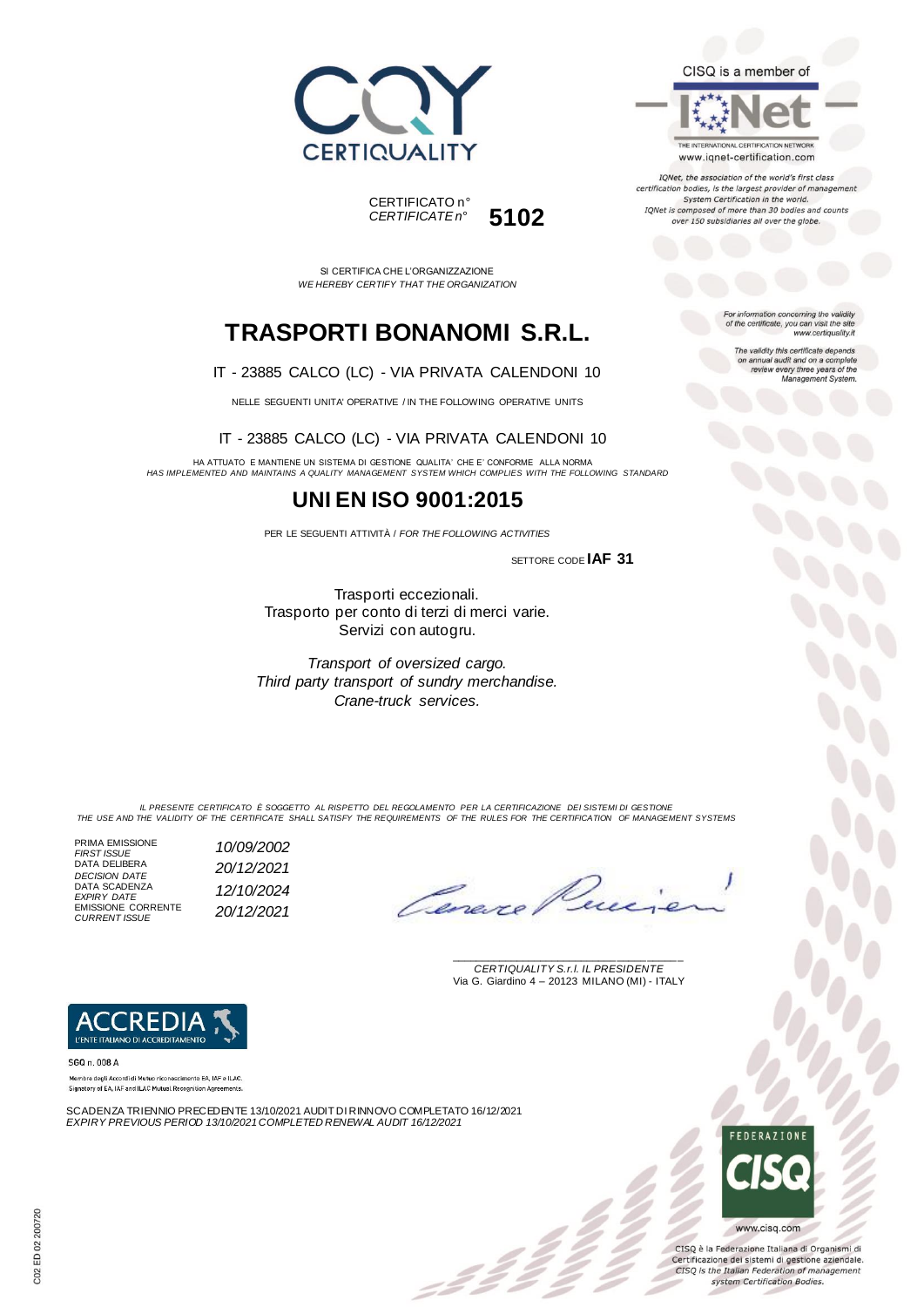



SI CERTIFICA CHE L'ORGANIZZAZIONE *WE HEREBY CERTIFY THAT THE ORGANIZATION*

# **TRASPORTI BONANOMI S.R.L.**

#### IT - 23885 CALCO (LC) - VIA PRIVATA CALENDONI 10

NELLE SEGUENTI UNITA' OPERATIVE / IN THE FOLLOWING OPERATIVE UNITS

#### IT - 23885 CALCO (LC) - VIA PRIVATA CALENDONI 10

HA ATTUATO E MANTIENE UN SISTEMA DI GESTIONE QUALITA' CHE E' CONFORME ALLA NORMA *HAS IMPLEMENTED AND MAINTAINS A QUALITY MANAGEMENT SYSTEM WHICH COMPLIES WITH THE FOLLOWING STANDARD*

## **UNI EN ISO 9001:2015**

PER LE SEGUENTI ATTIVITÀ / *FOR THE FOLLOWING ACTIVITIES*

SETTORE CODE **IAF 31**

Trasporti eccezionali. Trasporto per conto di terzi di merci varie. Servizi con autogru.

*Transport of oversized cargo. Third party transport of sundry merchandise. Crane-truck services.*

For information concerning the validity<br>of the certificate, you can visit the site www.certiquality.it

CISQ is a member of

THE INTERNATIONAL CERTIFICATION NETWORK www.iqnet-certification.com IQNet, the association of the world's first class certification bodies, is the largest provider of management System Certification in the world. IQNet is composed of more than 30 bodies and counts over 150 subsidiaries all over the globe.

> The validity this certificate depends on annual audit and on a complete<br>review every three years of the<br>Management System.

*IL PRESENTE CERTIFICATO È SOGGETTO AL RISPETTO DEL REGOLAMENTO PER LA CERTIFICAZIONE DEI SISTEMI DI GESTIONE THE USE AND THE VALIDITY OF THE CERTIFICATE SHALL SATISFY THE REQUIREMENTS OF THE RULES FOR THE CERTIFICATION OF MANAGEMENT SYSTEMS*

PRIMA EMISSIONE *FIRST ISSUE 10/09/2002* DATA DELIBERA *DECISION DATE 20/12/2021* DATA SCADENZA *EXPIRY DATE 12/10/2024* EMISSIONE CORRENTE *CURRENT ISSUE 20/12/2021*

\_\_\_\_\_\_\_\_\_\_\_\_\_\_\_\_\_\_\_\_\_\_\_\_\_\_\_\_\_\_\_\_\_\_\_\_\_\_\_ *CERTIQUALITY S.r.l. IL PRESIDENTE* Via G. Giardino 4 – 20123 MILANO (MI) - ITALY



SGQ n. 008 A Membro degli Accordi di Mutuo riconoscimento EA, IAF e ILAC Signatory of EA, IAF and ILAC Mutual Recognition Agreements

SCADENZA TRIENNIO PRECEDENTE 13/10/2021 AUDIT DI RINNOVO COMPLETATO 16/12/2021 *EXPIRY PREVIOUS PERIOD 13/10/2021COMPLETED RENEWAL AUDIT 16/12/2021*



CISQ è la Federazione Italiana di Organismi di Certificazione dei sistemi di gestione aziendale. CISQ is the Italian Federation of management system Certification Bodies.